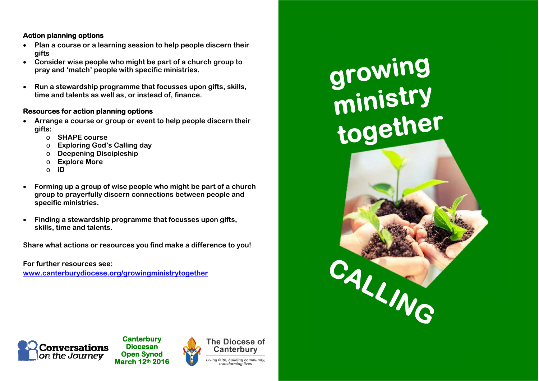#### **Action planning options**

- **Plan a course or a learning session to help people discern their gifts**
- **Consider wise people who might be part of a church group to pray and 'match' people with specific ministries.**
- $\bullet$  **Run a stewardship programme that focusses upon gifts, skills, time and talents as well as, or instead of, finance.**

#### **Resources for action planning options**

- **Arrange a course or group or event to help people discern their gifts:** 
	- o **SHAPE course**
	- o**Exploring God's Calling day**
	- o**Deepening Discipleship**
	- o**Explore More**
	- o**iD**
- $\bullet$  **Forming up a group of wise people who might be part of a church group to prayerfully discern connections between people and specific ministries.**
- $\bullet$  **Finding a stewardship programme that focusses upon gifts, skills, time and talents.**

**Share what actions or resources you find make a difference to you!** 

**For further resources see: www.canterburydiocese.org/growingministrytogether**



**Canterbury Diocesan Open Synod March 12th 2016**